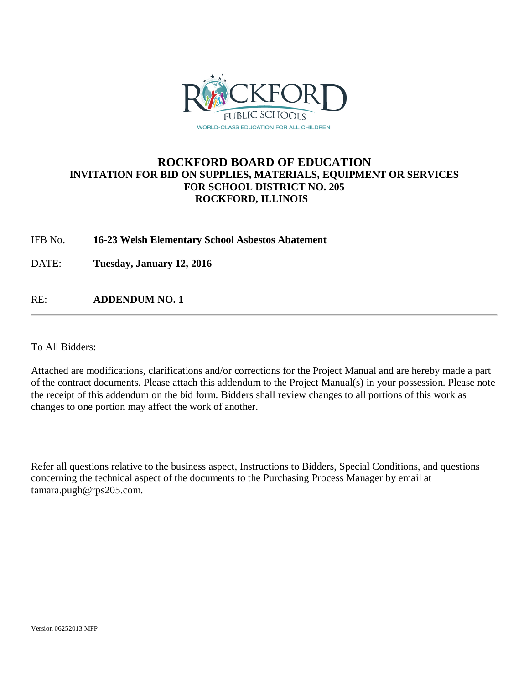

## **ROCKFORD BOARD OF EDUCATION INVITATION FOR BID ON SUPPLIES, MATERIALS, EQUIPMENT OR SERVICES FOR SCHOOL DISTRICT NO. 205 ROCKFORD, ILLINOIS**

IFB No. **16-23 Welsh Elementary School Asbestos Abatement**

DATE: **Tuesday, January 12, 2016**

RE: **ADDENDUM NO. 1**

To All Bidders:

Attached are modifications, clarifications and/or corrections for the Project Manual and are hereby made a part of the contract documents. Please attach this addendum to the Project Manual(s) in your possession. Please note the receipt of this addendum on the bid form. Bidders shall review changes to all portions of this work as changes to one portion may affect the work of another.

Refer all questions relative to the business aspect, Instructions to Bidders, Special Conditions, and questions concerning the technical aspect of the documents to the Purchasing Process Manager by email at tamara.pugh@rps205.com.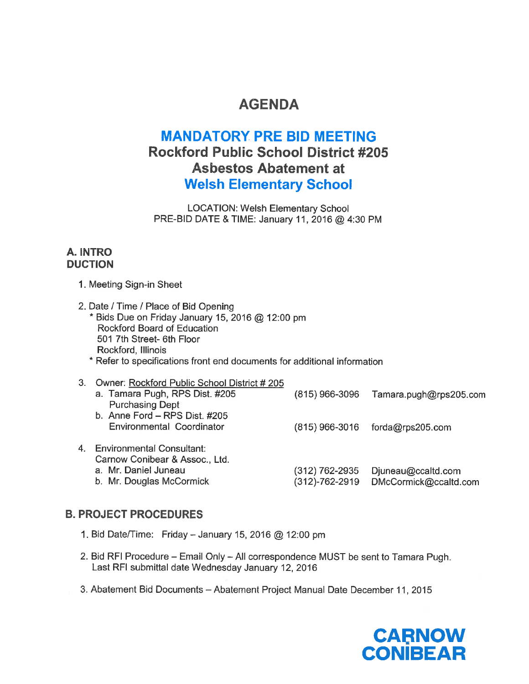# **AGENDA**

# **MANDATORY PRE BID MEETING Rockford Public School District #205 Asbestos Abatement at Welsh Elementary School**

**LOCATION: Welsh Elementary School** PRE-BID DATE & TIME: January 11, 2016 @ 4:30 PM

## A. INTRO **DUCTION**

- 1. Meeting Sign-in Sheet
- 2. Date / Time / Place of Bid Opening \* Bids Due on Friday January 15, 2016 @ 12:00 pm Rockford Board of Education 501 7th Street- 6th Floor Rockford, Illinois
	- \* Refer to specifications front end documents for additional information
- 3. Owner: Rockford Public School District #205 a. Tamara Pugh, RPS Dist. #205  $(815)$  966-3096 Tamara.pugh@rps205.com **Purchasing Dept** b. Anne Ford - RPS Dist. #205 Environmental Coordinator  $(815)$  966-3016 forda@rps205.com 4. Environmental Consultant: Carnow Conibear & Assoc., Ltd. a. Mr. Daniel Juneau  $(312)$  762-2935 Djuneau@ccaltd.com b. Mr. Douglas McCormick (312)-762-2919 DMcCormick@ccaltd.com

## **B. PROJECT PROCEDURES**

- 1. Bid Date/Time: Friday January 15, 2016  $@$  12:00 pm
- 2. Bid RFI Procedure Email Only All correspondence MUST be sent to Tamara Pugh. Last RFI submittal date Wednesday January 12, 2016
- 3. Abatement Bid Documents Abatement Project Manual Date December 11, 2015

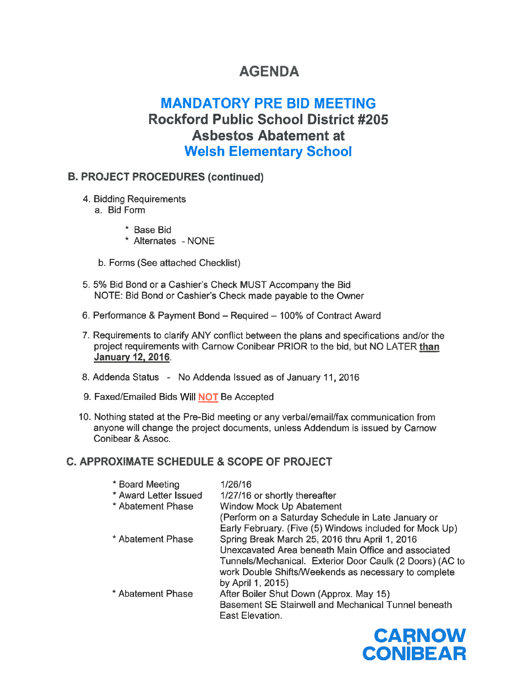# **AGENDA**

# **MANDATORY PRE BID MEETING Rockford Public School District #205 Asbestos Abatement at Welsh Elementary School**

## **B. PROJECT PROCEDURES (continued)**

- 4. Bidding Requirements
	- a. Bid Form
		- \* Base Bid
		- \* Alternates NONE
	- b. Forms (See attached Checklist)
- 5. 5% Bid Bond or a Cashier's Check MUST Accompany the Bid NOTE: Bid Bond or Cashier's Check made payable to the Owner
- 6. Performance & Payment Bond Required 100% of Contract Award
- 7. Requirements to clarify ANY conflict between the plans and specifications and/or the project requirements with Carnow Conibear PRIOR to the bid, but NO LATER than **January 12, 2016.**
- 8. Addenda Status No Addenda Issued as of January 11, 2016
- 9. Faxed/Emailed Bids Will NOT Be Accepted
- 10. Nothing stated at the Pre-Bid meeting or any verbal/email/fax communication from anyone will change the project documents, unless Addendum is issued by Carnow Conibear & Assoc.

## C. APPROXIMATE SCHEDULE & SCOPE OF PROJECT

| * Board Meeting       | 1/26/16                                                  |
|-----------------------|----------------------------------------------------------|
| * Award Letter Issued | 1/27/16 or shortly thereafter                            |
| * Abatement Phase     | Window Mock Up Abatement                                 |
|                       | (Perform on a Saturday Schedule in Late January or       |
|                       | Early February. (Five (5) Windows included for Mock Up)  |
| * Abatement Phase     | Spring Break March 25, 2016 thru April 1, 2016           |
|                       | Unexcavated Area beneath Main Office and associated      |
|                       | Tunnels/Mechanical. Exterior Door Caulk (2 Doors) (AC to |
|                       | work Double Shifts/Weekends as necessary to complete     |
|                       | by April 1, 2015)                                        |
| * Abatement Phase     | After Boiler Shut Down (Approx. May 15)                  |
|                       | Basement SE Stairwell and Mechanical Tunnel beneath      |
|                       | East Elevation.                                          |

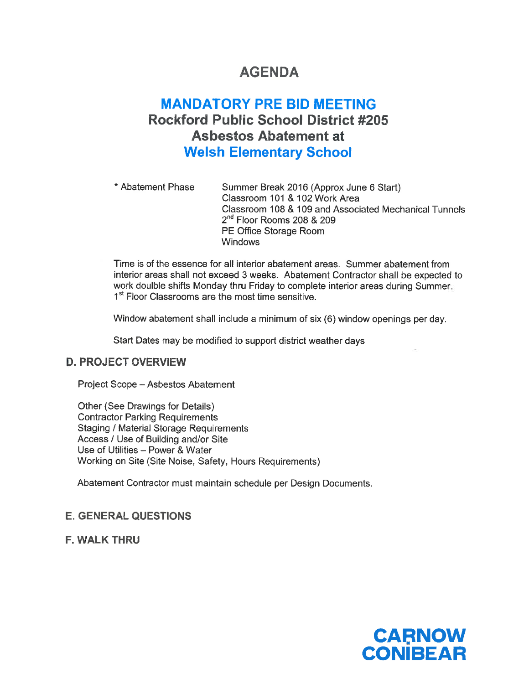# **AGENDA**

# **MANDATORY PRE BID MEETING Rockford Public School District #205 Asbestos Abatement at Welsh Elementary School**

\* Abatement Phase Summer Break 2016 (Approx June 6 Start) Classroom 101 & 102 Work Area Classroom 108 & 109 and Associated Mechanical Tunnels 2<sup>nd</sup> Floor Rooms 208 & 209 PE Office Storage Room **Windows** 

Time is of the essence for all interior abatement areas. Summer abatement from interior areas shall not exceed 3 weeks. Abatement Contractor shall be expected to work doulble shifts Monday thru Friday to complete interior areas during Summer. 1<sup>st</sup> Floor Classrooms are the most time sensitive.

Window abatement shall include a minimum of six (6) window openings per day.

Start Dates may be modified to support district weather days

### **D. PROJECT OVERVIEW**

Project Scope - Asbestos Abatement

Other (See Drawings for Details) **Contractor Parking Requirements Staging / Material Storage Requirements** Access / Use of Building and/or Site Use of Utilities - Power & Water Working on Site (Site Noise, Safety, Hours Requirements)

Abatement Contractor must maintain schedule per Design Documents.

## **E. GENERAL QUESTIONS**

**F. WALK THRU** 

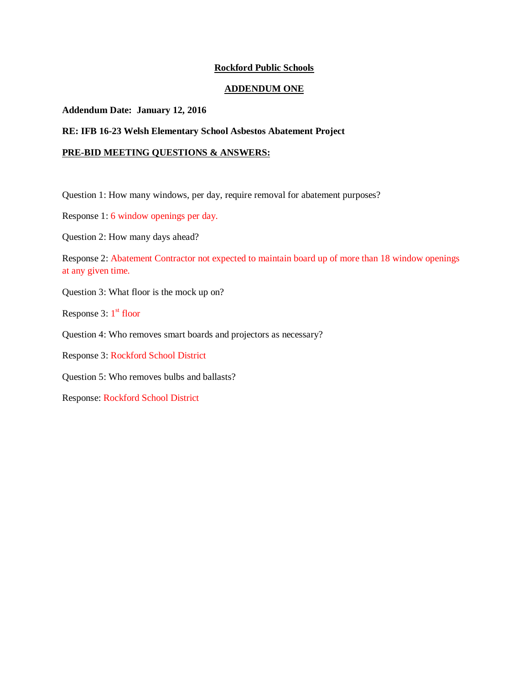### **Rockford Public Schools**

#### **ADDENDUM ONE**

#### **Addendum Date: January 12, 2016**

### **RE: IFB 16-23 Welsh Elementary School Asbestos Abatement Project**

#### **PRE-BID MEETING QUESTIONS & ANSWERS:**

Question 1: How many windows, per day, require removal for abatement purposes?

Response 1: 6 window openings per day.

Question 2: How many days ahead?

Response 2: Abatement Contractor not expected to maintain board up of more than 18 window openings at any given time.

Question 3: What floor is the mock up on?

Response  $3: 1<sup>st</sup>$  floor

Question 4: Who removes smart boards and projectors as necessary?

Response 3: Rockford School District

Question 5: Who removes bulbs and ballasts?

Response: Rockford School District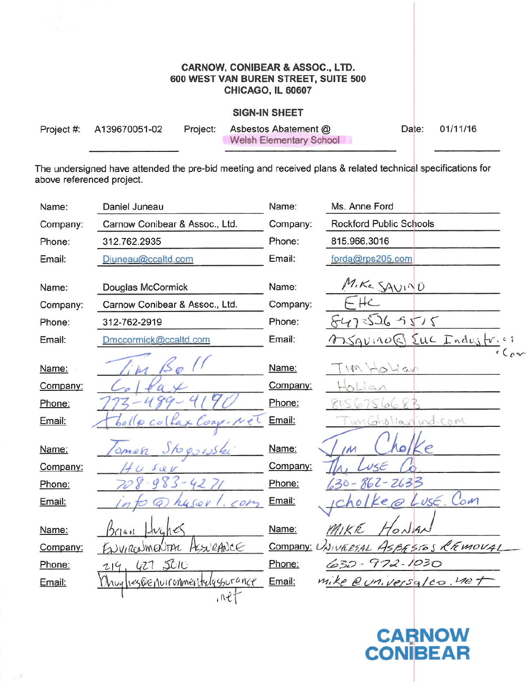### **CARNOW, CONIBEAR & ASSOC., LTD.** 600 WEST VAN BUREN STREET, SUITE 500 **CHICAGO, IL 60607**

### **SIGN-IN SHEET**

| Project #: A139670051-02 | Project: Asbestos Abatement @  | Date: 01/11/16 |
|--------------------------|--------------------------------|----------------|
|                          | <b>Welsh Elementary School</b> |                |

The undersigned have attended the pre-bid meeting and received plans & related technical specifications for above referenced project.

| Name:    | Daniel Juneau                   | Name:    | Ms. Anne Ford                       |
|----------|---------------------------------|----------|-------------------------------------|
| Company: | Carnow Conibear & Assoc., Ltd.  | Company: | <b>Rockford Public Schools</b>      |
| Phone:   | 312.762.2935                    | Phone:   | 815.966.3016                        |
| Email:   | Djuneau@ccaltd.com              | Email:   | forda@rps205.com                    |
|          |                                 |          | MIKE SAVIND                         |
| Name:    | Douglas McCormick               | Name:    |                                     |
| Company: | Carnow Conibear & Assoc., Ltd.  | Company: | $- H \subset$                       |
| Phone:   | 312-762-2919                    | Phone:   | 5475265515                          |
| Email:   | Dmccormick@ccaltd.com           | Email:   | Bauno Euc Industries                |
| Name:    |                                 | Name:    | TIM Holian                          |
| Company: |                                 | Company: | $L_{c}$                             |
| Phone:   |                                 | Phone:   |                                     |
| Email:   | Colfax Corp. Nel                | Email:   | wn Gholian indicom                  |
| Name:    | Omen<br>to 0,2615kg             | Name:    |                                     |
| Company: |                                 | Company: |                                     |
| Phone:   | $983 - 427$                     | Phone:   | 30-862-2633                         |
| Email:   | $.$ $COP2$<br>husov             | Email:   | $L$ us $\epsilon$ .<br>Com<br>ke    |
| Name:    | $L_{4}$ hes<br>141              | Name:    | MIKE                                |
| Company: | HURANCE<br>ENVIRONMENTAL        |          | Company: UNIVERTAL ASBESTOS REMOVAL |
| Phone:   | 427 SOIU                        | Phone:   | 630 - 972 - 1030                    |
| Email:   | Unuy heg@enuironmentelqssurance | Email:   | mike @universalco. Wet              |
|          | $i$ $\mathcal{R}$               |          |                                     |

**CARNOW**<br>CONIBEAR